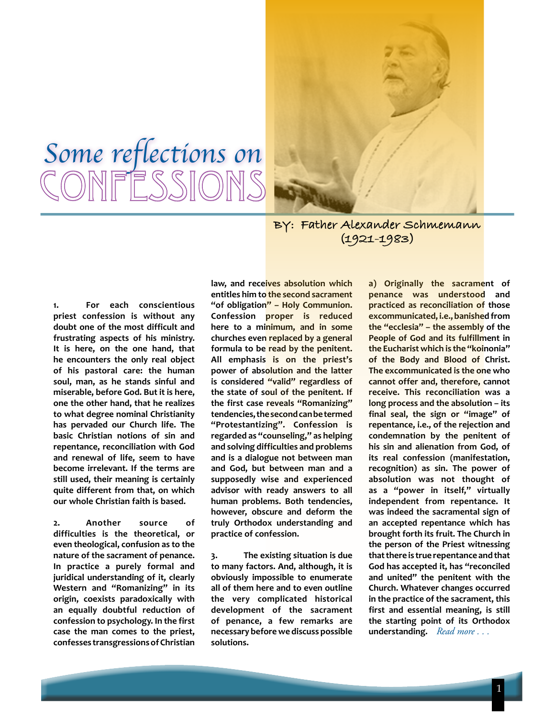



**BY: Father Alexander Schmemann (1921-1983)**

**1. For each conscientious priest confession is without any doubt one of the most difficult and frustrating aspects of his ministry. It is here, on the one hand, that he encounters the only real object of his pastoral care: the human soul, man, as he stands sinful and miserable, before God. But it is here, one the other hand, that he realizes to what degree nominal Christianity has pervaded our Church life. The basic Christian notions of sin and repentance, reconciliation with God and renewal of life, seem to have become irrelevant. If the terms are still used, their meaning is certainly quite different from that, on which our whole Christian faith is based.**

**2. Another source of difficulties is the theoretical, or even theological, confusion as to the nature of the sacrament of penance. In practice a purely formal and juridical understanding of it, clearly Western and "Romanizing" in its origin, coexists paradoxically with an equally doubtful reduction of confession to psychology. In the first case the man comes to the priest, confesses transgressions of Christian** 

**law, and receives absolution which entitles him to the second sacrament "of obligation" – Holy Communion. Confession proper is reduced here to a minimum, and in some churches even replaced by a general formula to be read by the penitent. All emphasis is on the priest's power of absolution and the latter is considered "valid" regardless of the state of soul of the penitent. If the first case reveals "Romanizing" tendencies, the second can be termed "Protestantizing". Confession is regarded as "counseling," as helping and solving difficulties and problems and is a dialogue not between man and God, but between man and a supposedly wise and experienced advisor with ready answers to all human problems. Both tendencies, however, obscure and deform the truly Orthodox understanding and practice of confession.**

**3. The existing situation is due to many factors. And, although, it is obviously impossible to enumerate all of them here and to even outline the very complicated historical development of the sacrament of penance, a few remarks are necessary before we discuss possible solutions.**

*Read more . . .* **understanding. a) Originally the sacrament of penance was understood and practiced as reconciliation of those excommunicated, i.e., banished from the "ecclesia" – the assembly of the People of God and its fulfillment in the Eucharist which is the "koinonia" of the Body and Blood of Christ. The excommunicated is the one who cannot offer and, therefore, cannot receive. This reconciliation was a long process and the absolution – its final seal, the sign or "image" of repentance, i.e., of the rejection and condemnation by the penitent of his sin and alienation from God, of its real confession (manifestation, recognition) as sin. The power of absolution was not thought of as a "power in itself," virtually independent from repentance. It was indeed the sacramental sign of an accepted repentance which has brought forth its fruit. The Church in the person of the Priest witnessing that there is true repentance and that God has accepted it, has "reconciled and united" the penitent with the Church. Whatever changes occurred in the practice of the sacrament, this first and essential meaning, is still the starting point of its Orthodox**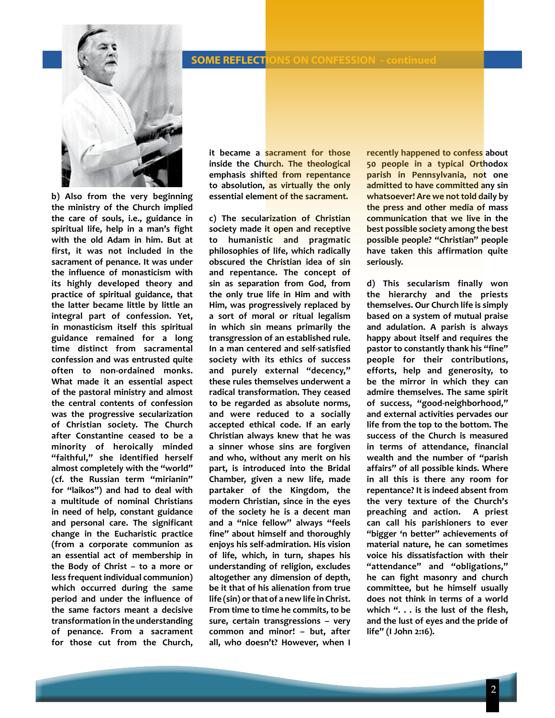## **EL INC. A SOME REFLECTIONS ON CONFESSION - continued**



**b) Also from the very beginning the ministry of the Church implied the care of souls, i.e., guidance in spiritual life, help in a man's fight with the old Adam in him. But at first, it was not included in the sacrament of penance. It was under the influence of monasticism with its highly developed theory and practice of spiritual guidance, that the latter became little by little an integral part of confession. Yet, in monasticism itself this spiritual guidance remained for a long time distinct from sacramental confession and was entrusted quite often to non-ordained monks. What made it an essential aspect of the pastoral ministry and almost the central contents of confession was the progressive secularization of Christian society. The Church after Constantine ceased to be a minority of heroically minded "faithful," she identified herself almost completely with the "world" (cf. the Russian term "mirianin" for "laikos") and had to deal with a multitude of nominal Christians in need of help, constant guidance and personal care. The significant change in the Eucharistic practice (from a corporate communion as an essential act of membership in the Body of Christ – to a more or less frequent individual communion) which occurred during the same period and under the influence of the same factors meant a decisive transformation in the understanding of penance. From a sacrament for those cut from the Church,** 

**it became a sacrament for those inside the Church. The theological emphasis shifted from repentance to absolution, as virtually the only essential element of the sacrament.**

**c) The secularization of Christian society made it open and receptive to humanistic and pragmatic philosophies of life, which radically obscured the Christian idea of sin and repentance. The concept of sin as separation from God, from the only true life in Him and with Him, was progressively replaced by a sort of moral or ritual legalism in which sin means primarily the transgression of an established rule. In a man centered and self-satisfied society with its ethics of success and purely external "decency," these rules themselves underwent a radical transformation. They ceased to be regarded as absolute norms, and were reduced to a socially accepted ethical code. If an early Christian always knew that he was a sinner whose sins are forgiven and who, without any merit on his part, is introduced into the Bridal Chamber, given a new life, made partaker of the Kingdom, the modern Christian, since in the eyes of the society he is a decent man and a "nice fellow" always "feels fine" about himself and thoroughly enjoys his self-admiration. His vision of life, which, in turn, shapes his understanding of religion, excludes altogether any dimension of depth, be it that of his alienation from true life (sin) or that of a new life in Christ. From time to time he commits, to be sure, certain transgressions – very common and minor! – but, after all, who doesn't? However, when I** 

**recently happened to confess about 50 people in a typical Orthodox parish in Pennsylvania, not one admitted to have committed any sin whatsoever! Are we not told daily by the press and other media of mass communication that we live in the best possible society among the best possible people? "Christian" people have taken this affirmation quite seriously.**

**d) This secularism finally won the hierarchy and the priests themselves. Our Church life is simply based on a system of mutual praise and adulation. A parish is always happy about itself and requires the pastor to constantly thank his "fine" people for their contributions, efforts, help and generosity, to be the mirror in which they can admire themselves. The same spirit of success, "good-neighborhood," and external activities pervades our life from the top to the bottom. The success of the Church is measured in terms of attendance, financial wealth and the number of "parish affairs" of all possible kinds. Where in all this is there any room for repentance? It is indeed absent from the very texture of the Church's preaching and action. A priest can call his parishioners to ever "bigger 'n better" achievements of material nature, he can sometimes voice his dissatisfaction with their "attendance" and "obligations," he can fight masonry and church committee, but he himself usually does not think in terms of a world which ". . . is the lust of the flesh, and the lust of eyes and the pride of life" (I John 2:16).**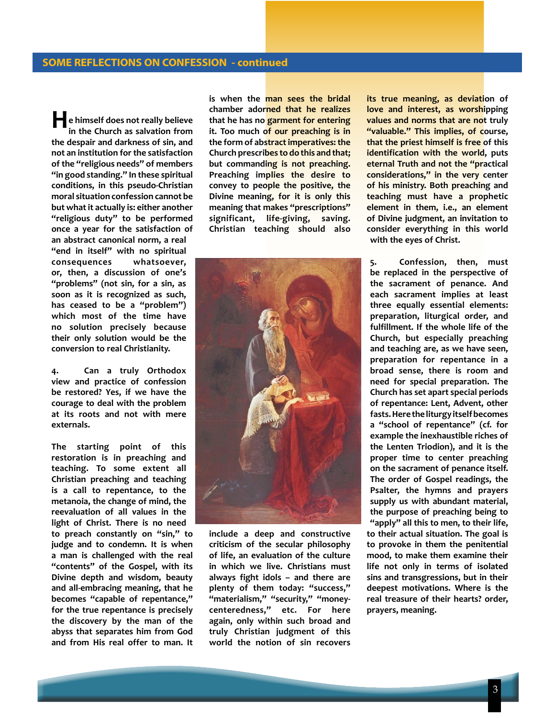**He himself does not really believe in the Church as salvation from the despair and darkness of sin, and not an institution for the satisfaction of the "religious needs" of members "in good standing." In these spiritual conditions, in this pseudo-Christian moral situation confession cannot be but what it actually is: either another "religious duty" to be performed once a year for the satisfaction of an abstract canonical norm, a real "end in itself" with no spiritual consequences whatsoever, or, then, a discussion of one's "problems" (not sin, for a sin, as soon as it is recognized as such, has ceased to be a "problem") which most of the time have no solution precisely because their only solution would be the conversion to real Christianity.**

**4. Can a truly Orthodox view and practice of confession be restored? Yes, if we have the courage to deal with the problem at its roots and not with mere externals.**

**The starting point of this restoration is in preaching and teaching. To some extent all Christian preaching and teaching is a call to repentance, to the metanoia, the change of mind, the reevaluation of all values in the light of Christ. There is no need to preach constantly on "sin," to judge and to condemn. It is when a man is challenged with the real "contents" of the Gospel, with its Divine depth and wisdom, beauty and all-embracing meaning, that he becomes "capable of repentance," for the true repentance is precisely the discovery by the man of the abyss that separates him from God and from His real offer to man. It**  **is when the man sees the bridal chamber adorned that he realizes that he has no garment for entering it. Too much of our preaching is in the form of abstract imperatives: the Church prescribes to do this and that; but commanding is not preaching. Preaching implies the desire to convey to people the positive, the Divine meaning, for it is only this meaning that makes "prescriptions" significant, life-giving, saving. Christian teaching should also** 



**include a deep and constructive criticism of the secular philosophy of life, an evaluation of the culture in which we live. Christians must always fight idols – and there are plenty of them today: "success," "materialism," "security," "moneycenteredness," etc. For here again, only within such broad and truly Christian judgment of this world the notion of sin recovers** 

**its true meaning, as deviation of love and interest, as worshipping values and norms that are not truly "valuable." This implies, of course, that the priest himself is free of this identification with the world, puts eternal Truth and not the "practical considerations," in the very center of his ministry. Both preaching and teaching must have a prophetic element in them, i.e., an element of Divine judgment, an invitation to consider everything in this world with the eyes of Christ.**

**5. Confession, then, must be replaced in the perspective of the sacrament of penance. And each sacrament implies at least three equally essential elements: preparation, liturgical order, and fulfillment. If the whole life of the Church, but especially preaching and teaching are, as we have seen, preparation for repentance in a broad sense, there is room and need for special preparation. The Church has set apart special periods of repentance: Lent, Advent, other fasts. Here the liturgy itself becomes a "school of repentance" (cf. for example the inexhaustible riches of the Lenten Triodion), and it is the proper time to center preaching on the sacrament of penance itself. The order of Gospel readings, the Psalter, the hymns and prayers supply us with abundant material, the purpose of preaching being to "apply" all this to men, to their life, to their actual situation. The goal is to provoke in them the penitential mood, to make them examine their life not only in terms of isolated sins and transgressions, but in their deepest motivations. Where is the real treasure of their hearts? order, prayers, meaning.**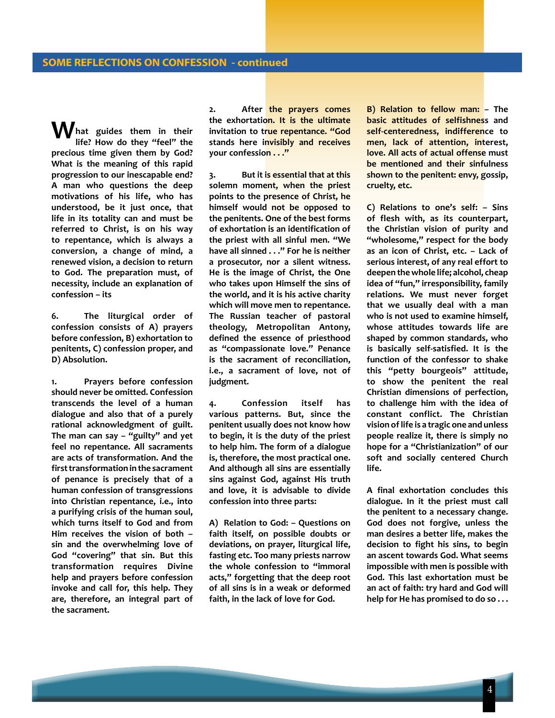**What guides them in their life? How do they "feel" the precious time given them by God? What is the meaning of this rapid progression to our inescapable end? A man who questions the deep motivations of his life, who has understood, be it just once, that life in its totality can and must be referred to Christ, is on his way to repentance, which is always a conversion, a change of mind, a renewed vision, a decision to return to God. The preparation must, of necessity, include an explanation of confession – its**

**6. The liturgical order of confession consists of A) prayers before confession, B) exhortation to penitents, C) confession proper, and D) Absolution.**

**1. Prayers before confession should never be omitted. Confession transcends the level of a human dialogue and also that of a purely rational acknowledgment of guilt. The man can say – "guilty" and yet feel no repentance. All sacraments are acts of transformation. And the first transformation in the sacrament of penance is precisely that of a human confession of transgressions into Christian repentance, i.e., into a purifying crisis of the human soul, which turns itself to God and from Him receives the vision of both – sin and the overwhelming love of God "covering" that sin. But this transformation requires Divine help and prayers before confession invoke and call for, this help. They are, therefore, an integral part of the sacrament.**

**2. After the prayers comes the exhortation. It is the ultimate invitation to true repentance. "God stands here invisibly and receives your confession . . ."**

**3. But it is essential that at this solemn moment, when the priest points to the presence of Christ, he himself would not be opposed to the penitents. One of the best forms of exhortation is an identification of the priest with all sinful men. "We have all sinned . . ." For he is neither a prosecutor, nor a silent witness. He is the image of Christ, the One who takes upon Himself the sins of the world, and it is his active charity which will move men to repentance. The Russian teacher of pastoral theology, Metropolitan Antony, defined the essence of priesthood as "compassionate love." Penance is the sacrament of reconciliation, i.e., a sacrament of love, not of judgment.**

**4. Confession itself has various patterns. But, since the penitent usually does not know how to begin, it is the duty of the priest to help him. The form of a dialogue is, therefore, the most practical one. And although all sins are essentially sins against God, against His truth and love, it is advisable to divide confession into three parts:**

**A) Relation to God: – Questions on faith itself, on possible doubts or deviations, on prayer, liturgical life, fasting etc. Too many priests narrow the whole confession to "immoral acts," forgetting that the deep root of all sins is in a weak or deformed faith, in the lack of love for God.**

**B) Relation to fellow man: – The basic attitudes of selfishness and self-centeredness, indifference to men, lack of attention, interest, love. All acts of actual offense must be mentioned and their sinfulness shown to the penitent: envy, gossip, cruelty, etc.**

**C) Relations to one's self: – Sins of flesh with, as its counterpart, the Christian vision of purity and "wholesome," respect for the body as an icon of Christ, etc. – Lack of serious interest, of any real effort to deepen the whole life; alcohol, cheap idea of "fun," irresponsibility, family relations. We must never forget that we usually deal with a man who is not used to examine himself, whose attitudes towards life are shaped by common standards, who is basically self-satisfied. It is the function of the confessor to shake this "petty bourgeois" attitude, to show the penitent the real Christian dimensions of perfection, to challenge him with the idea of constant conflict. The Christian vision of life is a tragic one and unless people realize it, there is simply no hope for a "Christianization" of our soft and socially centered Church life.**

**A final exhortation concludes this dialogue. In it the priest must call the penitent to a necessary change. God does not forgive, unless the man desires a better life, makes the decision to fight his sins, to begin an ascent towards God. What seems impossible with men is possible with God. This last exhortation must be an act of faith: try hard and God will help for He has promised to do so . . .**